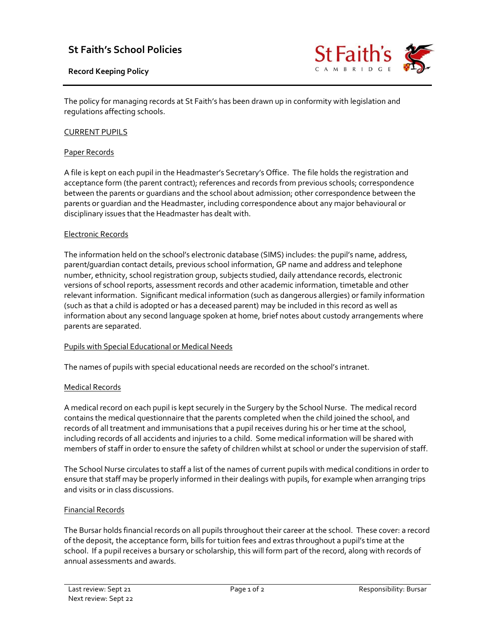# St Faith's School Policies

# Record Keeping Policy



The policy for managing records at St Faith's has been drawn up in conformity with legislation and regulations affecting schools.

# CURRENT PUPILS

# Paper Records

A file is kept on each pupil in the Headmaster's Secretary's Office. The file holds the registration and acceptance form (the parent contract); references and records from previous schools; correspondence between the parents or guardians and the school about admission; other correspondence between the parents or guardian and the Headmaster, including correspondence about any major behavioural or disciplinary issues that the Headmaster has dealt with.

# Electronic Records

The information held on the school's electronic database (SIMS) includes: the pupil's name, address, parent/guardian contact details, previous school information, GP name and address and telephone number, ethnicity, school registration group, subjects studied, daily attendance records, electronic versions of school reports, assessment records and other academic information, timetable and other relevant information. Significant medical information (such as dangerous allergies) or family information (such as that a child is adopted or has a deceased parent) may be included in this record as well as information about any second language spoken at home, brief notes about custody arrangements where parents are separated.

#### Pupils with Special Educational or Medical Needs

The names of pupils with special educational needs are recorded on the school's intranet.

#### Medical Records

A medical record on each pupil is kept securely in the Surgery by the School Nurse. The medical record contains the medical questionnaire that the parents completed when the child joined the school, and records of all treatment and immunisations that a pupil receives during his or her time at the school, including records of all accidents and injuries to a child. Some medical information will be shared with members of staff in order to ensure the safety of children whilst at school or under the supervision of staff.

The School Nurse circulates to staff a list of the names of current pupils with medical conditions in order to ensure that staff may be properly informed in their dealings with pupils, for example when arranging trips and visits or in class discussions.

#### Financial Records

The Bursar holds financial records on all pupils throughout their career at the school. These cover: a record of the deposit, the acceptance form, bills for tuition fees and extras throughout a pupil's time at the school. If a pupil receives a bursary or scholarship, this will form part of the record, along with records of annual assessments and awards.